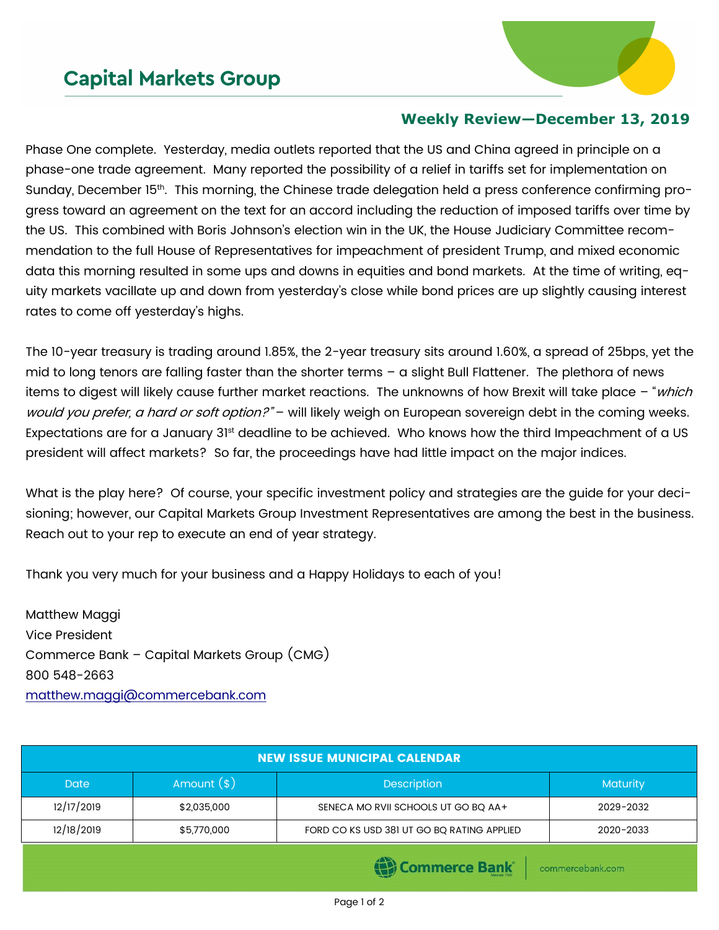## **Capital Markets Group**



## **Weekly Review—December 13, 2019**

Phase One complete. Yesterday, media outlets reported that the US and China agreed in principle on a phase-one trade agreement. Many reported the possibility of a relief in tariffs set for implementation on Sunday, December 15<sup>th</sup>. This morning, the Chinese trade delegation held a press conference confirming progress toward an agreement on the text for an accord including the reduction of imposed tariffs over time by the US. This combined with Boris Johnson's election win in the UK, the House Judiciary Committee recommendation to the full House of Representatives for impeachment of president Trump, and mixed economic data this morning resulted in some ups and downs in equities and bond markets. At the time of writing, equity markets vacillate up and down from yesterday's close while bond prices are up slightly causing interest rates to come off yesterday's highs.

The 10-year treasury is trading around 1.85%, the 2-year treasury sits around 1.60%, a spread of 25bps, yet the mid to long tenors are falling faster than the shorter terms – a slight Bull Flattener. The plethora of news items to digest will likely cause further market reactions. The unknowns of how Brexit will take place – "*which* would you prefer, a hard or soft option?" – will likely weigh on European sovereign debt in the coming weeks. Expectations are for a January 31<sup>st</sup> deadline to be achieved. Who knows how the third Impeachment of a US president will affect markets? So far, the proceedings have had little impact on the major indices.

What is the play here? Of course, your specific investment policy and strategies are the guide for your decisioning; however, our Capital Markets Group Investment Representatives are among the best in the business. Reach out to your rep to execute an end of year strategy.

Thank you very much for your business and a Happy Holidays to each of you!

Matthew Maggi Vice President Commerce Bank – Capital Markets Group (CMG) 800 548-2663 [matthew.maggi@commercebank.com](mailto:matthew.maggi@commercebank.com)

| <b>NEW ISSUE MUNICIPAL CALENDAR</b> |               |                                            |                 |  |  |  |
|-------------------------------------|---------------|--------------------------------------------|-----------------|--|--|--|
| <b>Date</b>                         | Amount $(\$)$ | <b>Description</b>                         | <b>Maturity</b> |  |  |  |
| 12/17/2019                          | \$2,035,000   | SENECA MO RVII SCHOOLS UT GO BO AA+        | 2029-2032       |  |  |  |
| 12/18/2019                          | \$5,770,000   | FORD CO KS USD 381 UT GO BQ RATING APPLIED | 2020-2033       |  |  |  |
|                                     |               | <b>STATISTICS</b>                          |                 |  |  |  |

) Commerce Bank

commercebank.com